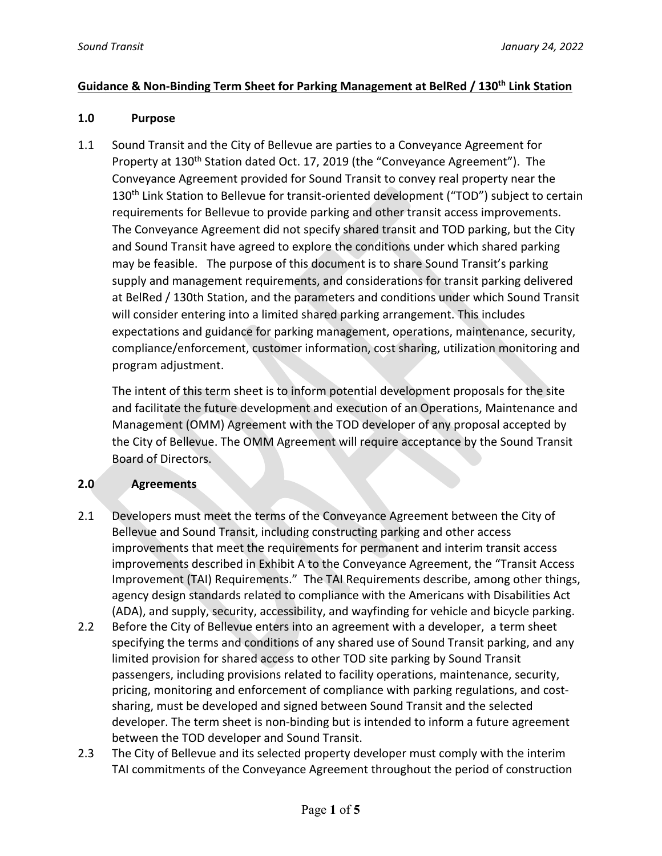#### **Guidance & Non-Binding Term Sheet for Parking Management at BelRed / 130th Link Station**

#### **1.0 Purpose**

1.1 Sound Transit and the City of Bellevue are parties to a Conveyance Agreement for Property at 130<sup>th</sup> Station dated Oct. 17, 2019 (the "Conveyance Agreement"). The Conveyance Agreement provided for Sound Transit to convey real property near the 130<sup>th</sup> Link Station to Bellevue for transit-oriented development ("TOD") subject to certain requirements for Bellevue to provide parking and other transit access improvements. The Conveyance Agreement did not specify shared transit and TOD parking, but the City and Sound Transit have agreed to explore the conditions under which shared parking may be feasible. The purpose of this document is to share Sound Transit's parking supply and management requirements, and considerations for transit parking delivered at BelRed / 130th Station, and the parameters and conditions under which Sound Transit will consider entering into a limited shared parking arrangement. This includes expectations and guidance for parking management, operations, maintenance, security, compliance/enforcement, customer information, cost sharing, utilization monitoring and program adjustment.

The intent of this term sheet is to inform potential development proposals for the site and facilitate the future development and execution of an Operations, Maintenance and Management (OMM) Agreement with the TOD developer of any proposal accepted by the City of Bellevue. The OMM Agreement will require acceptance by the Sound Transit Board of Directors.

# **2.0 Agreements**

- 2.1 Developers must meet the terms of the Conveyance Agreement between the City of Bellevue and Sound Transit, including constructing parking and other access improvements that meet the requirements for permanent and interim transit access improvements described in Exhibit A to the Conveyance Agreement, the "Transit Access Improvement (TAI) Requirements." The TAI Requirements describe, among other things, agency design standards related to compliance with the Americans with Disabilities Act (ADA), and supply, security, accessibility, and wayfinding for vehicle and bicycle parking.
- 2.2 Before the City of Bellevue enters into an agreement with a developer, a term sheet specifying the terms and conditions of any shared use of Sound Transit parking, and any limited provision for shared access to other TOD site parking by Sound Transit passengers, including provisions related to facility operations, maintenance, security, pricing, monitoring and enforcement of compliance with parking regulations, and costsharing, must be developed and signed between Sound Transit and the selected developer. The term sheet is non-binding but is intended to inform a future agreement between the TOD developer and Sound Transit.
- 2.3 The City of Bellevue and its selected property developer must comply with the interim TAI commitments of the Conveyance Agreement throughout the period of construction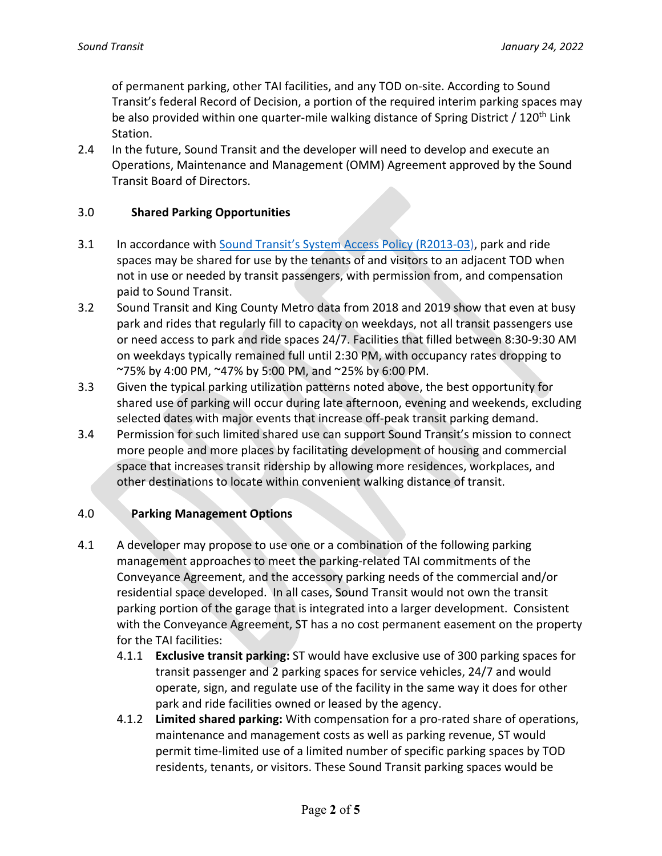of permanent parking, other TAI facilities, and any TOD on-site. According to Sound Transit's federal Record of Decision, a portion of the required interim parking spaces may be also provided within one quarter-mile walking distance of Spring District / 120<sup>th</sup> Link Station.

2.4 In the future, Sound Transit and the developer will need to develop and execute an Operations, Maintenance and Management (OMM) Agreement approved by the Sound Transit Board of Directors.

#### 3.0 **Shared Parking Opportunities**

- 3.1 In accordance with Sound Transit's System Access Policy (R2013-03), park and ride spaces may be shared for use by the tenants of and visitors to an adjacent TOD when not in use or needed by transit passengers, with permission from, and compensation paid to Sound Transit.
- 3.2 Sound Transit and King County Metro data from 2018 and 2019 show that even at busy park and rides that regularly fill to capacity on weekdays, not all transit passengers use or need access to park and ride spaces 24/7. Facilities that filled between 8:30-9:30 AM on weekdays typically remained full until 2:30 PM, with occupancy rates dropping to ~75% by 4:00 PM, ~47% by 5:00 PM, and ~25% by 6:00 PM.
- 3.3 Given the typical parking utilization patterns noted above, the best opportunity for shared use of parking will occur during late afternoon, evening and weekends, excluding selected dates with major events that increase off-peak transit parking demand.
- 3.4 Permission for such limited shared use can support Sound Transit's mission to connect more people and more places by facilitating development of housing and commercial space that increases transit ridership by allowing more residences, workplaces, and other destinations to locate within convenient walking distance of transit.

# 4.0 **Parking Management Options**

- 4.1 A developer may propose to use one or a combination of the following parking management approaches to meet the parking-related TAI commitments of the Conveyance Agreement, and the accessory parking needs of the commercial and/or residential space developed. In all cases, Sound Transit would not own the transit parking portion of the garage that is integrated into a larger development. Consistent with the Conveyance Agreement, ST has a no cost permanent easement on the property for the TAI facilities:
	- 4.1.1 **Exclusive transit parking:** ST would have exclusive use of 300 parking spaces for transit passenger and 2 parking spaces for service vehicles, 24/7 and would operate, sign, and regulate use of the facility in the same way it does for other park and ride facilities owned or leased by the agency.
	- 4.1.2 **Limited shared parking:** With compensation for a pro-rated share of operations, maintenance and management costs as well as parking revenue, ST would permit time-limited use of a limited number of specific parking spaces by TOD residents, tenants, or visitors. These Sound Transit parking spaces would be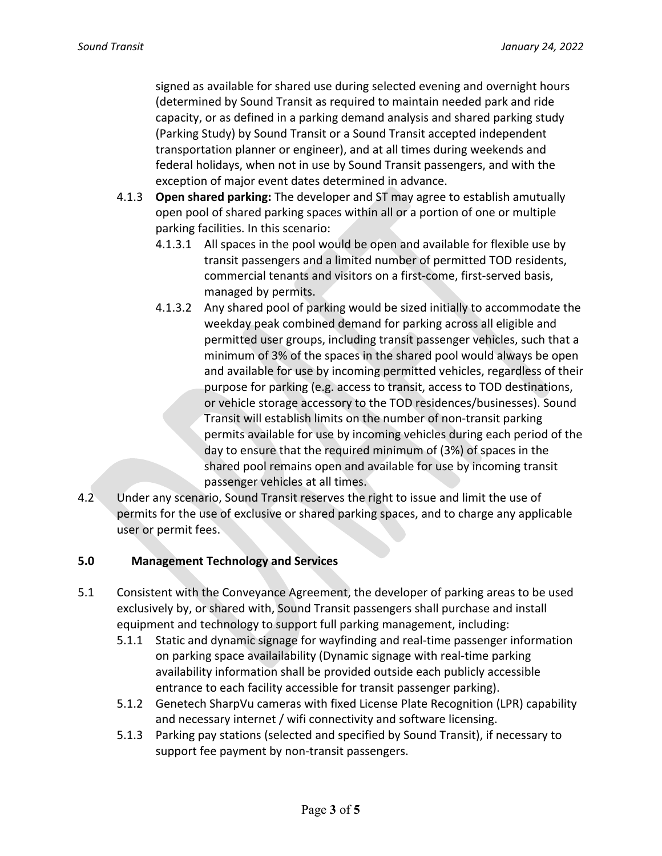signed as available for shared use during selected evening and overnight hours (determined by Sound Transit as required to maintain needed park and ride capacity, or as defined in a parking demand analysis and shared parking study (Parking Study) by Sound Transit or a Sound Transit accepted independent transportation planner or engineer), and at all times during weekends and federal holidays, when not in use by Sound Transit passengers, and with the exception of major event dates determined in advance.

- 4.1.3 **Open shared parking:** The developer and ST may agree to establish amutually open pool of shared parking spaces within all or a portion of one or multiple parking facilities. In this scenario:
	- 4.1.3.1 All spaces in the pool would be open and available for flexible use by transit passengers and a limited number of permitted TOD residents, commercial tenants and visitors on a first-come, first-served basis, managed by permits.
	- 4.1.3.2 Any shared pool of parking would be sized initially to accommodate the weekday peak combined demand for parking across all eligible and permitted user groups, including transit passenger vehicles, such that a minimum of 3% of the spaces in the shared pool would always be open and available for use by incoming permitted vehicles, regardless of their purpose for parking (e.g. access to transit, access to TOD destinations, or vehicle storage accessory to the TOD residences/businesses). Sound Transit will establish limits on the number of non-transit parking permits available for use by incoming vehicles during each period of the day to ensure that the required minimum of (3%) of spaces in the shared pool remains open and available for use by incoming transit passenger vehicles at all times.
- 4.2 Under any scenario, Sound Transit reserves the right to issue and limit the use of permits for the use of exclusive or shared parking spaces, and to charge any applicable user or permit fees.

# **5.0 Management Technology and Services**

- 5.1 Consistent with the Conveyance Agreement, the developer of parking areas to be used exclusively by, or shared with, Sound Transit passengers shall purchase and install equipment and technology to support full parking management, including:
	- 5.1.1 Static and dynamic signage for wayfinding and real-time passenger information on parking space availailability (Dynamic signage with real-time parking availability information shall be provided outside each publicly accessible entrance to each facility accessible for transit passenger parking).
	- 5.1.2 Genetech SharpVu cameras with fixed License Plate Recognition (LPR) capability and necessary internet / wifi connectivity and software licensing.
	- 5.1.3 Parking pay stations (selected and specified by Sound Transit), if necessary to support fee payment by non-transit passengers.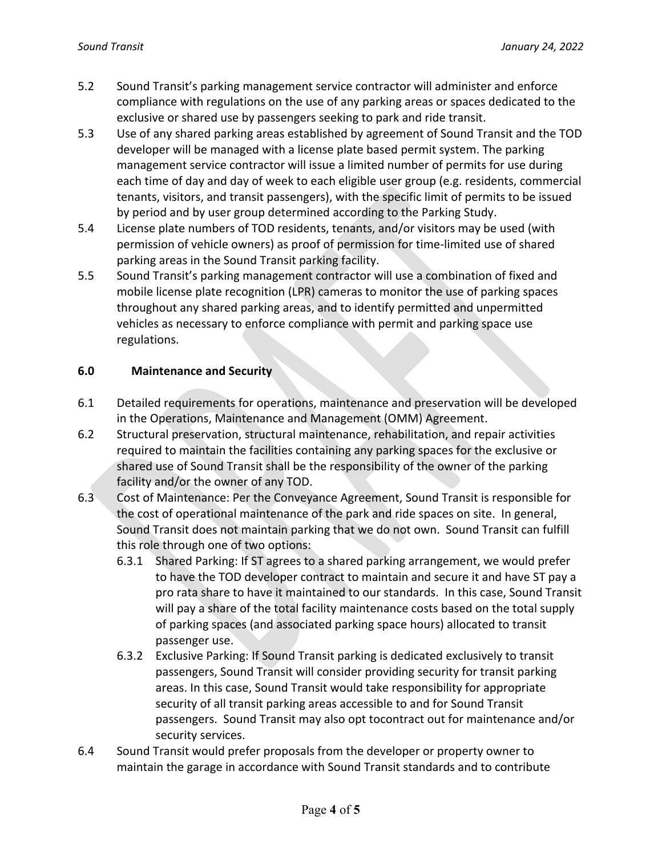- 5.2 Sound Transit's parking management service contractor will administer and enforce compliance with regulations on the use of any parking areas or spaces dedicated to the exclusive or shared use by passengers seeking to park and ride transit.
- 5.3 Use of any shared parking areas established by agreement of Sound Transit and the TOD developer will be managed with a license plate based permit system. The parking management service contractor will issue a limited number of permits for use during each time of day and day of week to each eligible user group (e.g. residents, commercial tenants, visitors, and transit passengers), with the specific limit of permits to be issued by period and by user group determined according to the Parking Study.
- 5.4 License plate numbers of TOD residents, tenants, and/or visitors may be used (with permission of vehicle owners) as proof of permission for time-limited use of shared parking areas in the Sound Transit parking facility.
- 5.5 Sound Transit's parking management contractor will use a combination of fixed and mobile license plate recognition (LPR) cameras to monitor the use of parking spaces throughout any shared parking areas, and to identify permitted and unpermitted vehicles as necessary to enforce compliance with permit and parking space use regulations.

# **6.0 Maintenance and Security**

- 6.1 Detailed requirements for operations, maintenance and preservation will be developed in the Operations, Maintenance and Management (OMM) Agreement.
- 6.2 Structural preservation, structural maintenance, rehabilitation, and repair activities required to maintain the facilities containing any parking spaces for the exclusive or shared use of Sound Transit shall be the responsibility of the owner of the parking facility and/or the owner of any TOD.
- 6.3 Cost of Maintenance: Per the Conveyance Agreement, Sound Transit is responsible for the cost of operational maintenance of the park and ride spaces on site. In general, Sound Transit does not maintain parking that we do not own. Sound Transit can fulfill this role through one of two options:
	- 6.3.1 Shared Parking: If ST agrees to a shared parking arrangement, we would prefer to have the TOD developer contract to maintain and secure it and have ST pay a pro rata share to have it maintained to our standards. In this case, Sound Transit will pay a share of the total facility maintenance costs based on the total supply of parking spaces (and associated parking space hours) allocated to transit passenger use.
	- 6.3.2 Exclusive Parking: If Sound Transit parking is dedicated exclusively to transit passengers, Sound Transit will consider providing security for transit parking areas. In this case, Sound Transit would take responsibility for appropriate security of all transit parking areas accessible to and for Sound Transit passengers. Sound Transit may also opt tocontract out for maintenance and/or security services.
- 6.4 Sound Transit would prefer proposals from the developer or property owner to maintain the garage in accordance with Sound Transit standards and to contribute